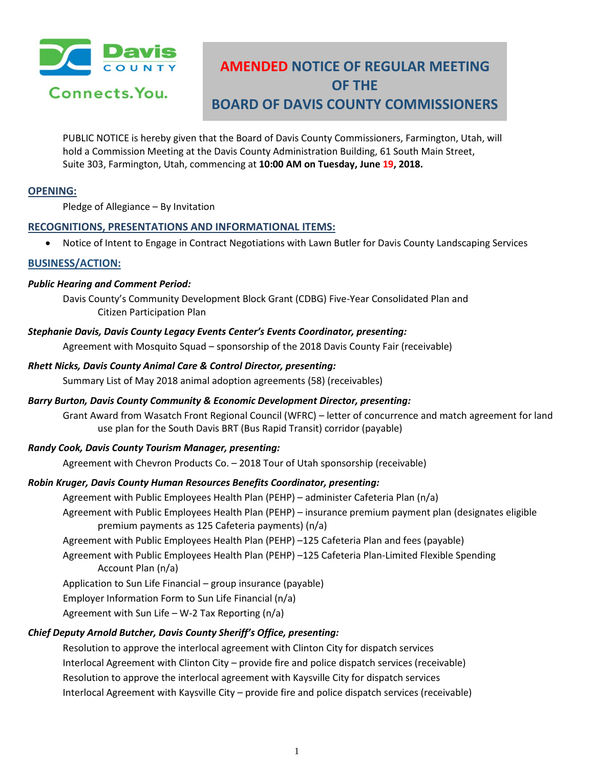

# **AMENDED NOTICE OF REGULAR MEETING OF THE BOARD OF DAVIS COUNTY COMMISSIONERS**

PUBLIC NOTICE is hereby given that the Board of Davis County Commissioners, Farmington, Utah, will hold a Commission Meeting at the Davis County Administration Building, 61 South Main Street, Suite 303, Farmington, Utah, commencing at **10:00 AM on Tuesday, June 19, 2018.**

# **OPENING:**

Pledge of Allegiance – By Invitation

# **RECOGNITIONS, PRESENTATIONS AND INFORMATIONAL ITEMS:**

• Notice of Intent to Engage in Contract Negotiations with Lawn Butler for Davis County Landscaping Services

## **BUSINESS/ACTION:**

#### *Public Hearing and Comment Period:*

Davis County's Community Development Block Grant (CDBG) Five-Year Consolidated Plan and Citizen Participation Plan

#### *Stephanie Davis, Davis County Legacy Events Center's Events Coordinator, presenting:*

Agreement with Mosquito Squad – sponsorship of the 2018 Davis County Fair (receivable)

#### *Rhett Nicks, Davis County Animal Care & Control Director, presenting:*

Summary List of May 2018 animal adoption agreements (58) (receivables)

#### *Barry Burton, Davis County Community & Economic Development Director, presenting:*

Grant Award from Wasatch Front Regional Council (WFRC) – letter of concurrence and match agreement for land use plan for the South Davis BRT (Bus Rapid Transit) corridor (payable)

## *Randy Cook, Davis County Tourism Manager, presenting:*

Agreement with Chevron Products Co. – 2018 Tour of Utah sponsorship (receivable)

## *Robin Kruger, Davis County Human Resources Benefits Coordinator, presenting:*

Agreement with Public Employees Health Plan (PEHP) – administer Cafeteria Plan (n/a)

- Agreement with Public Employees Health Plan (PEHP) insurance premium payment plan (designates eligible premium payments as 125 Cafeteria payments) (n/a)
- Agreement with Public Employees Health Plan (PEHP) –125 Cafeteria Plan and fees (payable)

Agreement with Public Employees Health Plan (PEHP) –125 Cafeteria Plan-Limited Flexible Spending Account Plan (n/a)

Application to Sun Life Financial – group insurance (payable)

Employer Information Form to Sun Life Financial (n/a)

Agreement with Sun Life – W-2 Tax Reporting  $(n/a)$ 

## *Chief Deputy Arnold Butcher, Davis County Sheriff's Office, presenting:*

Resolution to approve the interlocal agreement with Clinton City for dispatch services Interlocal Agreement with Clinton City – provide fire and police dispatch services (receivable) Resolution to approve the interlocal agreement with Kaysville City for dispatch services Interlocal Agreement with Kaysville City – provide fire and police dispatch services (receivable)